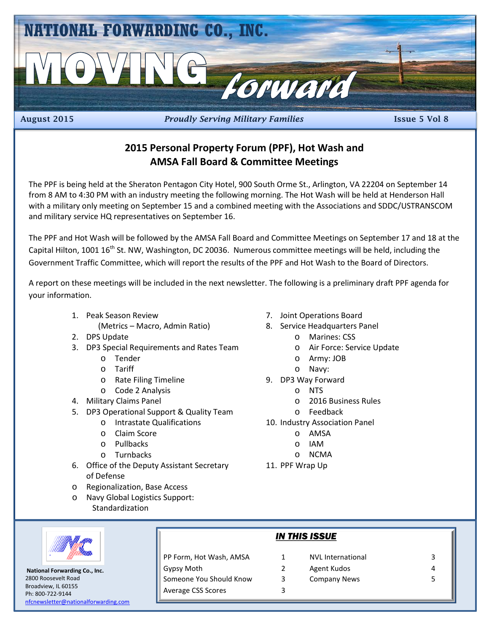

August 2015 *Proudly Serving Military Families* Issue 5 Vol 8

#### **2015 Personal Property Forum (PPF), Hot Wash and AMSA Fall Board & Committee Meetings**

The PPF is being held at the Sheraton Pentagon City Hotel, 900 South Orme St., Arlington, VA 22204 on September 14 from 8 AM to 4:30 PM with an industry meeting the following morning. The Hot Wash will be held at Henderson Hall with a military only meeting on September 15 and a combined meeting with the Associations and SDDC/USTRANSCOM and military service HQ representatives on September 16.

The PPF and Hot Wash will be followed by the AMSA Fall Board and Committee Meetings on September 17 and 18 at the Capital Hilton, 1001 16<sup>th</sup> St. NW, Washington, DC 20036. Numerous committee meetings will be held, including the Government Traffic Committee, which will report the results of the PPF and Hot Wash to the Board of Directors.

A report on these meetings will be included in the next newsletter. The following is a preliminary draft PPF agenda for your information.

- 1. Peak Season Review
	- (Metrics Macro, Admin Ratio)
- 2. DPS Update
- 3. DP3 Special Requirements and Rates Team
	- o Tender
	- o Tariff
	- o Rate Filing Timeline
	- o Code 2 Analysis
- 4. Military Claims Panel
- 5. DP3 Operational Support & Quality Team
	- o Intrastate Qualifications
	- o Claim Score
	- o Pullbacks
	- o Turnbacks
- 6. Office of the Deputy Assistant Secretary of Defense
- o Regionalization, Base Access
- o Navy Global Logistics Support: Standardization
- 

 **National Forwarding Co., Inc.** 2800 Roosevelt Road Broadview, IL 60155 Ph: 800-722-9144 [nfcnewsletter@nationalforwarding.com](mailto:nfcnewsletter@nationalforwarding.com)

*IN THIS ISSUE* PP Form, Hot Wash, AMSA 1 NVL International 3 Gypsy Moth 2 Agent Kudos 4 Someone You Should Know 3 Company News 5 Average CSS Scores 3

- 7. Joint Operations Board
- 8. Service Headquarters Panel
	- o Marines: CSS
	- o Air Force: Service Update
	- o Army: JOB
	- o Navy:
- 9. DP3 Way Forward
	- o NTS
	- o 2016 Business Rules
	- o Feedback
- 10. Industry Association Panel
	- o AMSA
	- o IAM
	- o NCMA
- 11. PPF Wrap Up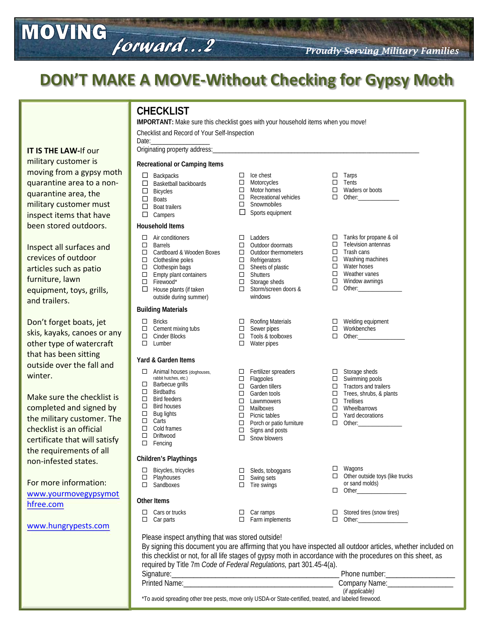### **DON'T MAKE A MOVE-Without Checking for Gypsy Moth**

forward...2

| <b>IT IS THE LAW-If our</b><br>military customer is                                                                                                                                                                 | <b>CHECKLIST</b><br>IMPORTANT: Make sure this checklist goes with your household items when you move!<br>Checklist and Record of Your Self-Inspection<br>Date:<br>Originating property address:                                                                                                                                                                                                                                                                                                                                                                                                |                                                                                                                                                                                                                                                                         |                                                                                                                                                                                                                       |  |
|---------------------------------------------------------------------------------------------------------------------------------------------------------------------------------------------------------------------|------------------------------------------------------------------------------------------------------------------------------------------------------------------------------------------------------------------------------------------------------------------------------------------------------------------------------------------------------------------------------------------------------------------------------------------------------------------------------------------------------------------------------------------------------------------------------------------------|-------------------------------------------------------------------------------------------------------------------------------------------------------------------------------------------------------------------------------------------------------------------------|-----------------------------------------------------------------------------------------------------------------------------------------------------------------------------------------------------------------------|--|
| moving from a gypsy moth<br>quarantine area to a non-<br>quarantine area, the<br>military customer must<br>inspect items that have                                                                                  | Recreational or Camping Items<br>Backpacks<br>$\Box$<br>$\Box$<br>Basketball backboards<br>$\Box$<br><b>Bicycles</b><br>$\Box$<br><b>Boats</b><br>$\Box$<br><b>Boat trailers</b><br>$\Box$ Campers                                                                                                                                                                                                                                                                                                                                                                                             | Ice chest<br>$\Box$<br>Motorcycles<br>$\Box$<br>Motor homes<br>$\Box$<br>$\Box$ Recreational vehicles<br>$\Box$<br>Snowmobiles<br>$\Box$<br>Sports equipment                                                                                                            | Tarps<br>□<br>Tents<br>□<br>Waders or boots<br>$\Box$<br>$\Box$                                                                                                                                                       |  |
| been stored outdoors.<br>Inspect all surfaces and<br>crevices of outdoor<br>articles such as patio<br>furniture, lawn<br>equipment, toys, grills,<br>and trailers.                                                  | <b>Household Items</b><br>$\Box$ Air conditioners<br>$\Box$<br><b>Barrels</b><br>□ Cardboard & Wooden Boxes<br>$\Box$ Clothesline poles<br>Clothespin bags<br>$\Box$<br>Empty plant containers<br>$\Box$<br>Firewood*<br>$\Box$<br>0<br>House plants (if taken<br>outside during summer)                                                                                                                                                                                                                                                                                                       | $\Box$ Ladders<br>$\Box$ Outdoor doormats<br>$\Box$ Outdoor thermometers<br>$\Box$ Refrigerators<br>$\Box$ Sheets of plastic<br>Shutters<br>$\Box$<br>Storage sheds<br>$\Box$<br>$\Box$ Storm/screen doors &<br>windows                                                 | Tanks for propane & oil<br>□<br>□<br>Television antennas<br>□<br>Trash cans<br>Washing machines<br>$\Box$<br>Water hoses<br>□<br>Weather vanes<br>□<br>$\Box$<br>Window awnings<br>□                                  |  |
| Don't forget boats, jet<br>skis, kayaks, canoes or any<br>other type of watercraft<br>that has been sitting                                                                                                         | <b>Building Materials</b><br><b>Bricks</b><br>$\Box$<br>Cement mixing tubs<br>$\Box$<br>$\Box$<br>Cinder Blocks<br>$\Box$<br>Lumber                                                                                                                                                                                                                                                                                                                                                                                                                                                            | $\Box$ Roofing Materials<br>Sewer pipes<br>$\Box$<br>$\Box$ Tools & toolboxes<br>□<br>Water pipes                                                                                                                                                                       | $\Box$ Welding equipment<br>$\Box$<br>Workbenches<br>$\Box$                                                                                                                                                           |  |
| outside over the fall and<br>winter.<br>Make sure the checklist is<br>completed and signed by<br>the military customer. The<br>checklist is an official<br>certificate that will satisfy<br>the requirements of all | Yard & Garden Items<br>$\Box$ Animal houses (doghouses,<br>rabbit hutches, etc.)<br>$\Box$ Barbecue grills<br>$\Box$<br>Birdbaths<br>$\Box$<br><b>Bird feeders</b><br>$\Box$<br>Bird houses<br>$\Box$<br>Bug lights<br>$\Box$<br>Carts<br>$\Box$<br>Cold frames<br>$\Box$<br>Driftwood<br>$\Box$<br>Fencing                                                                                                                                                                                                                                                                                    | $\Box$ Fertilizer spreaders<br>Flagpoles<br>$\Box$<br>Garden tillers<br>$\Box$<br>$\Box$<br>Garden tools<br>$\Box$<br>Lawnmowers<br>$\Box$<br>Mailboxes<br>$\Box$ Picnic tables<br>Porch or patio furniture<br>$\Box$<br>Signs and posts<br>$\Box$<br>Snow blowers<br>□ | Storage sheds<br>$\Box$<br>$\square$ Swimming pools<br>$\Box$ Tractors and trailers<br>Trees, shrubs, & plants<br>$\Box$<br>$\Box$ Trellises<br>Wheelbarrows<br>$\Box$<br>Yard decorations<br>$\Box$<br>$\Box$ Other: |  |
| non-infested states.<br>For more information:<br>www.yourmovegypsymot<br>hfree.com<br>www.hungrypests.com                                                                                                           | Children's Playthings<br>$\Box$ Bicycles, tricycles<br>$\Box$ Playhouses<br>$\Box$ Sandboxes                                                                                                                                                                                                                                                                                                                                                                                                                                                                                                   | $\Box$ Sleds, toboggans<br>$\Box$ Swing sets<br>$\Box$ Tire swings                                                                                                                                                                                                      | Wagons<br>□<br>Other outside toys (like trucks<br>□<br>or sand molds)<br>□                                                                                                                                            |  |
|                                                                                                                                                                                                                     | <b>Other Items</b><br>Cars or trucks<br>□.<br>$\Box$ Car parts<br>Please inspect anything that was stored outside!                                                                                                                                                                                                                                                                                                                                                                                                                                                                             | Car ramps<br>$\Box$<br>$\Box$ Farm implements                                                                                                                                                                                                                           | Stored tires (snow tires)<br>□<br>$\Box$                                                                                                                                                                              |  |
|                                                                                                                                                                                                                     | By signing this document you are affirming that you have inspected all outdoor articles, whether included on<br>this checklist or not, for all life stages of gypsy moth in accordance with the procedures on this sheet, as<br>required by Title 7m Code of Federal Regulations, part 301.45-4(a).<br>Phone number: _______________________<br>Drinted Name: The contract of the contract of the contract of the contract of the contract of the contract of the contract of the contract of the contract of the contract of the contract of the contract of the contract of<br>Company Namo: |                                                                                                                                                                                                                                                                         |                                                                                                                                                                                                                       |  |

MOVING

| Signature:                                                                                              | Phone number:   |  |
|---------------------------------------------------------------------------------------------------------|-----------------|--|
| <b>Printed Name:</b>                                                                                    | Company Name:   |  |
|                                                                                                         | (if applicable) |  |
| *To avoid spreading other tree pests, move only USDA-or State-certified, treated, and labeled firewood. |                 |  |

*Proudly Serving Military Families*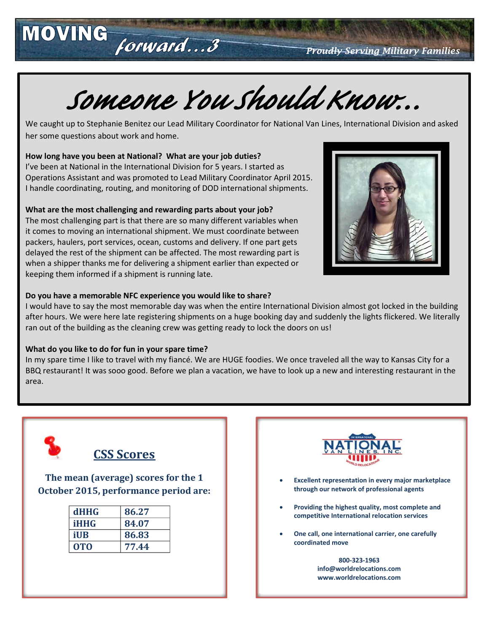*Proudly Serving Military Families*

# *Someone You Should Know…*

We caught up to Stephanie Benitez our Lead Military Coordinator for National Van Lines, International Division and asked her some questions about work and home.

#### **How long have you been at National? What are your job duties?**

MOVING forward...3

I've been at National in the International Division for 5 years. I started as Operations Assistant and was promoted to Lead Military Coordinator April 2015. I handle coordinating, routing, and monitoring of DOD international shipments.

#### **What are the most challenging and rewarding parts about your job?**

The most challenging part is that there are so many different variables when it comes to moving an international shipment. We must coordinate between packers, haulers, port services, ocean, customs and delivery. If one part gets delayed the rest of the shipment can be affected. The most rewarding part is when a shipper thanks me for delivering a shipment earlier than expected or keeping them informed if a shipment is running late.



#### **Do you have a memorable NFC experience you would like to share?**

I would have to say the most memorable day was when the entire International Division almost got locked in the building after hours. We were here late registering shipments on a huge booking day and suddenly the lights flickered. We literally ran out of the building as the cleaning crew was getting ready to lock the doors on us!

#### **What do you like to do for fun in your spare time?**

In my spare time I like to travel with my fiancé. We are HUGE foodies. We once traveled all the way to Kansas City for a BBQ restaurant! It was sooo good. Before we plan a vacation, we have to look up a new and interesting restaurant in the area.



#### **CSS Scores**

**The mean (average) scores for the 1 October 2015, performance period are:**

| <b>dHHG</b> | 86.27 |  |
|-------------|-------|--|
| <b>iHHG</b> | 84.07 |  |
| iUB         | 86.83 |  |
| <b>OTO</b>  | 77.44 |  |



- **Excellent representation in every major marketplace through our network of professional agents**
- **Providing the highest quality, most complete and competitive International relocation services**
- **One call, one international carrier, one carefully coordinated move**

**800-323-1963 info@worldrelocations.com www.worldrelocations.com**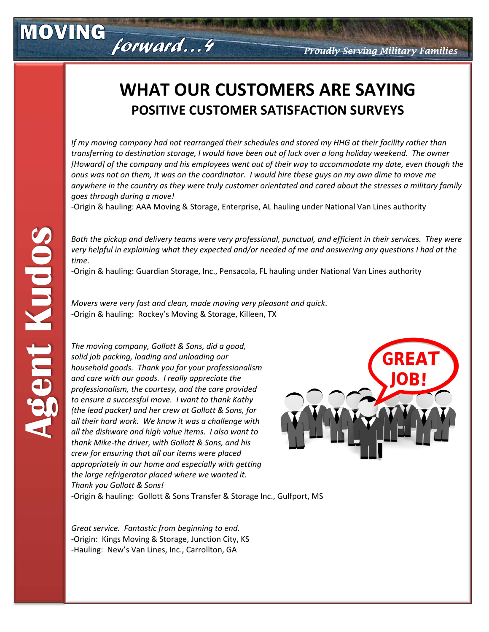### **WHAT OUR CUSTOMERS ARE SAYING POSITIVE CUSTOMER SATISFACTION SURVEYS**

*If my moving company had not rearranged their schedules and stored my HHG at their facility rather than transferring to destination storage, I would have been out of luck over a long holiday weekend. The owner [Howard] of the company and his employees went out of their way to accommodate my date, even though the onus was not on them, it was on the coordinator. I would hire these guys on my own dime to move me anywhere in the country as they were truly customer orientated and cared about the stresses a military family goes through during a move!*

-Origin & hauling: AAA Moving & Storage, Enterprise, AL hauling under National Van Lines authority

*Both the pickup and delivery teams were very professional, punctual, and efficient in their services. They were very helpful in explaining what they expected and/or needed of me and answering any questions I had at the time.*

-Origin & hauling: Guardian Storage, Inc., Pensacola, FL hauling under National Van Lines authority

*Movers were very fast and clean, made moving very pleasant and quick*. -Origin & hauling: Rockey's Moving & Storage, Killeen, TX

*The moving company, Gollott & Sons, did a good, solid job packing, loading and unloading our household goods. Thank you for your professionalism and care with our goods. I really appreciate the professionalism, the courtesy, and the care provided to ensure a successful move. I want to thank Kathy (the lead packer) and her crew at Gollott & Sons, for all their hard work. We know it was a challenge with all the dishware and high value items. I also want to thank Mike-the driver, with Gollott & Sons, and his crew for ensuring that all our items were placed appropriately in our home and especially with getting the large refrigerator placed where we wanted it. Thank you Gollott & Sons!*

forward...4



-Origin & hauling: Gollott & Sons Transfer & Storage Inc., Gulfport, MS

*Great service. Fantastic from beginning to end.* -Origin: Kings Moving & Storage, Junction City, KS -Hauling: New's Van Lines, Inc., Carrollton, GA

MOVING